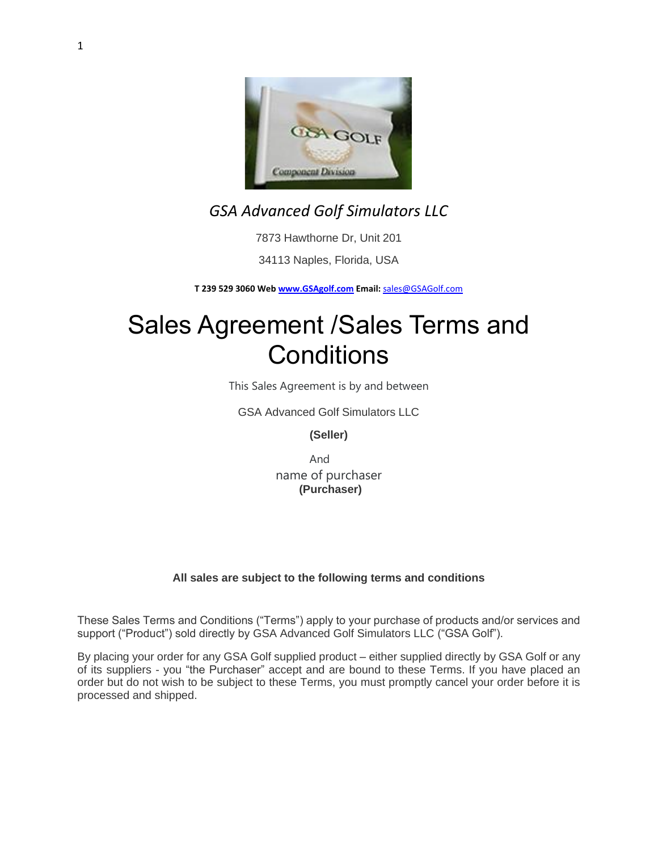

# *GSA Advanced Golf Simulators LLC*

7873 Hawthorne Dr, Unit 201

34113 Naples, Florida, USA

**T 239 529 3060 Web [www.GSAgolf.com](http://www.gsagolf.com/) Email:** [sales@GSAGolf.com](mailto:sales@GSAGolf.com)

# Sales Agreement /Sales Terms and **Conditions**

This Sales Agreement is by and between

GSA Advanced Golf Simulators LLC

**(Seller)**

And name of purchaser **(Purchaser)**

# **All sales are subject to the following terms and conditions**

These Sales Terms and Conditions ("Terms") apply to your purchase of products and/or services and support ("Product") sold directly by GSA Advanced Golf Simulators LLC ("GSA Golf").

By placing your order for any GSA Golf supplied product – either supplied directly by GSA Golf or any of its suppliers - you "the Purchaser" accept and are bound to these Terms. If you have placed an order but do not wish to be subject to these Terms, you must promptly cancel your order before it is processed and shipped.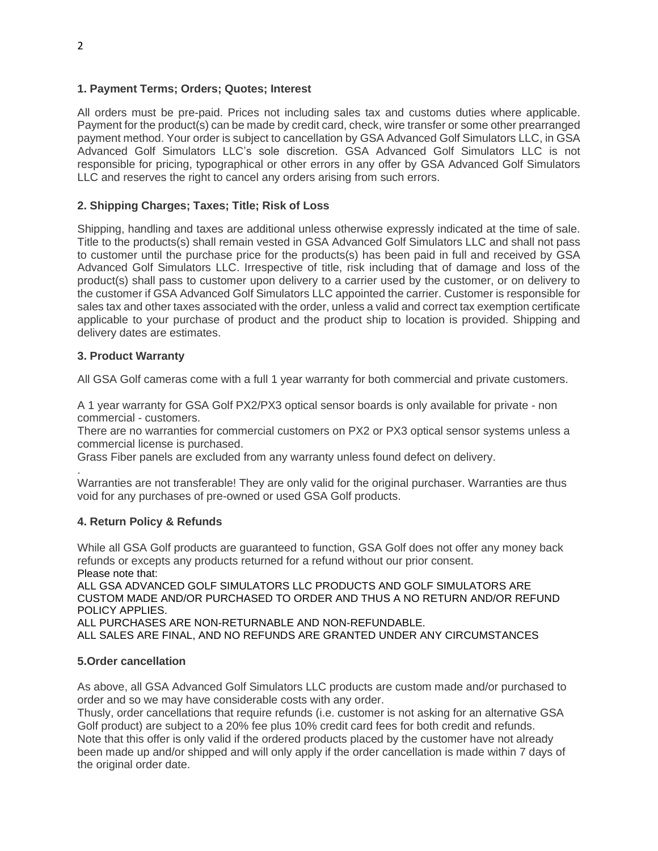#### **1. Payment Terms; Orders; Quotes; Interest**

All orders must be pre-paid. Prices not including sales tax and customs duties where applicable. Payment for the product(s) can be made by credit card, check, wire transfer or some other prearranged payment method. Your order is subject to cancellation by GSA Advanced Golf Simulators LLC, in GSA Advanced Golf Simulators LLC's sole discretion. GSA Advanced Golf Simulators LLC is not responsible for pricing, typographical or other errors in any offer by GSA Advanced Golf Simulators LLC and reserves the right to cancel any orders arising from such errors.

#### **2. Shipping Charges; Taxes; Title; Risk of Loss**

Shipping, handling and taxes are additional unless otherwise expressly indicated at the time of sale. Title to the products(s) shall remain vested in GSA Advanced Golf Simulators LLC and shall not pass to customer until the purchase price for the products(s) has been paid in full and received by GSA Advanced Golf Simulators LLC. Irrespective of title, risk including that of damage and loss of the product(s) shall pass to customer upon delivery to a carrier used by the customer, or on delivery to the customer if GSA Advanced Golf Simulators LLC appointed the carrier. Customer is responsible for sales tax and other taxes associated with the order, unless a valid and correct tax exemption certificate applicable to your purchase of product and the product ship to location is provided. Shipping and delivery dates are estimates.

#### **3. Product Warranty**

All GSA Golf cameras come with a full 1 year warranty for both commercial and private customers.

A 1 year warranty for GSA Golf PX2/PX3 optical sensor boards is only available for private - non commercial - customers.

There are no warranties for commercial customers on PX2 or PX3 optical sensor systems unless a commercial license is purchased.

Grass Fiber panels are excluded from any warranty unless found defect on delivery.

. Warranties are not transferable! They are only valid for the original purchaser. Warranties are thus void for any purchases of pre-owned or used GSA Golf products.

#### **4. Return Policy & Refunds**

While all GSA Golf products are guaranteed to function, GSA Golf does not offer any money back refunds or excepts any products returned for a refund without our prior consent. Please note that: ALL GSA ADVANCED GOLF SIMULATORS LLC PRODUCTS AND GOLF SIMULATORS ARE

CUSTOM MADE AND/OR PURCHASED TO ORDER AND THUS A NO RETURN AND/OR REFUND POLICY APPLIES.

ALL PURCHASES ARE NON-RETURNABLE AND NON-REFUNDABLE.

ALL SALES ARE FINAL, AND NO REFUNDS ARE GRANTED UNDER ANY CIRCUMSTANCES

#### **5.Order cancellation**

As above, all GSA Advanced Golf Simulators LLC products are custom made and/or purchased to order and so we may have considerable costs with any order.

Thusly, order cancellations that require refunds (i.e. customer is not asking for an alternative GSA Golf product) are subject to a 20% fee plus 10% credit card fees for both credit and refunds. Note that this offer is only valid if the ordered products placed by the customer have not already been made up and/or shipped and will only apply if the order cancellation is made within 7 days of the original order date.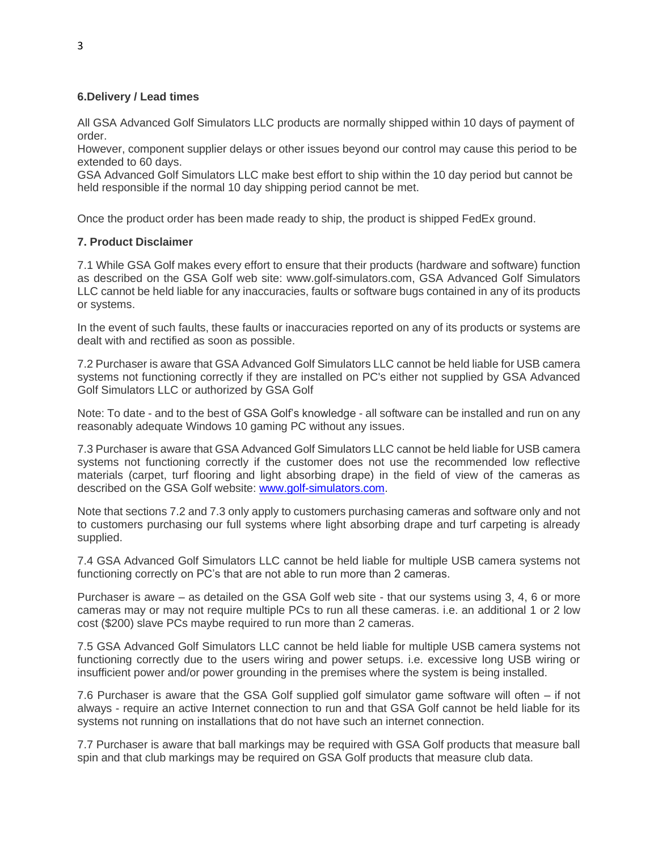#### **6.Delivery / Lead times**

All GSA Advanced Golf Simulators LLC products are normally shipped within 10 days of payment of order.

However, component supplier delays or other issues beyond our control may cause this period to be extended to 60 days.

GSA Advanced Golf Simulators LLC make best effort to ship within the 10 day period but cannot be held responsible if the normal 10 day shipping period cannot be met.

Once the product order has been made ready to ship, the product is shipped FedEx ground.

#### **7. Product Disclaimer**

7.1 While GSA Golf makes every effort to ensure that their products (hardware and software) function as described on the GSA Golf web site: www.golf-simulators.com, GSA Advanced Golf Simulators LLC cannot be held liable for any inaccuracies, faults or software bugs contained in any of its products or systems.

In the event of such faults, these faults or inaccuracies reported on any of its products or systems are dealt with and rectified as soon as possible.

7.2 Purchaser is aware that GSA Advanced Golf Simulators LLC cannot be held liable for USB camera systems not functioning correctly if they are installed on PC's either not supplied by GSA Advanced Golf Simulators LLC or authorized by GSA Golf

Note: To date - and to the best of GSA Golf's knowledge - all software can be installed and run on any reasonably adequate Windows 10 gaming PC without any issues.

7.3 Purchaser is aware that GSA Advanced Golf Simulators LLC cannot be held liable for USB camera systems not functioning correctly if the customer does not use the recommended low reflective materials (carpet, turf flooring and light absorbing drape) in the field of view of the cameras as described on the GSA Golf website: [www.golf-simulators.com.](http://www.golf-simulators.com/)

Note that sections 7.2 and 7.3 only apply to customers purchasing cameras and software only and not to customers purchasing our full systems where light absorbing drape and turf carpeting is already supplied.

7.4 GSA Advanced Golf Simulators LLC cannot be held liable for multiple USB camera systems not functioning correctly on PC's that are not able to run more than 2 cameras.

Purchaser is aware – as detailed on the GSA Golf web site - that our systems using 3, 4, 6 or more cameras may or may not require multiple PCs to run all these cameras. i.e. an additional 1 or 2 low cost (\$200) slave PCs maybe required to run more than 2 cameras.

7.5 GSA Advanced Golf Simulators LLC cannot be held liable for multiple USB camera systems not functioning correctly due to the users wiring and power setups. i.e. excessive long USB wiring or insufficient power and/or power grounding in the premises where the system is being installed.

7.6 Purchaser is aware that the GSA Golf supplied golf simulator game software will often – if not always - require an active Internet connection to run and that GSA Golf cannot be held liable for its systems not running on installations that do not have such an internet connection.

7.7 Purchaser is aware that ball markings may be required with GSA Golf products that measure ball spin and that club markings may be required on GSA Golf products that measure club data.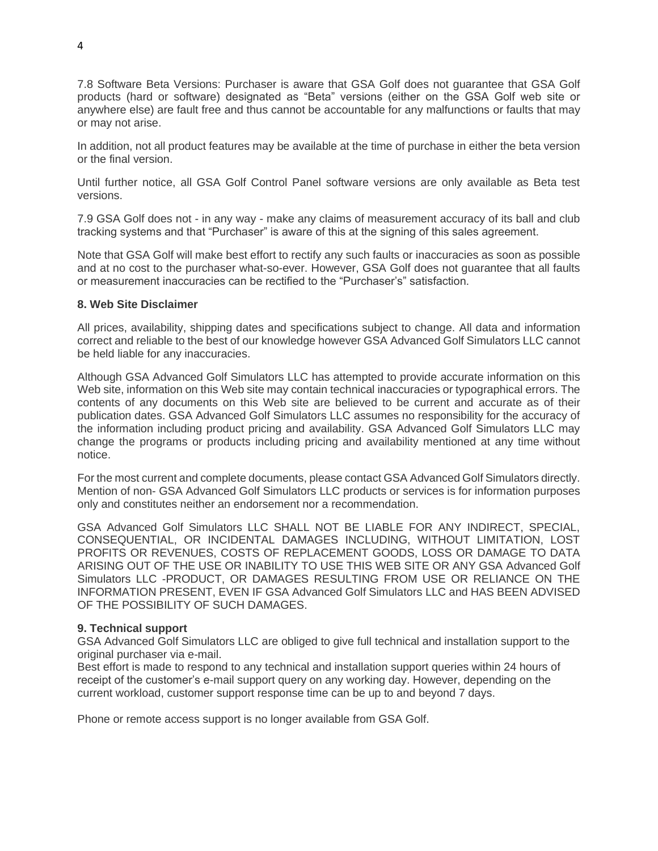7.8 Software Beta Versions: Purchaser is aware that GSA Golf does not guarantee that GSA Golf products (hard or software) designated as "Beta" versions (either on the GSA Golf web site or anywhere else) are fault free and thus cannot be accountable for any malfunctions or faults that may or may not arise.

In addition, not all product features may be available at the time of purchase in either the beta version or the final version.

Until further notice, all GSA Golf Control Panel software versions are only available as Beta test versions.

7.9 GSA Golf does not - in any way - make any claims of measurement accuracy of its ball and club tracking systems and that "Purchaser" is aware of this at the signing of this sales agreement.

Note that GSA Golf will make best effort to rectify any such faults or inaccuracies as soon as possible and at no cost to the purchaser what-so-ever. However, GSA Golf does not guarantee that all faults or measurement inaccuracies can be rectified to the "Purchaser's" satisfaction.

#### **8. Web Site Disclaimer**

All prices, availability, shipping dates and specifications subject to change. All data and information correct and reliable to the best of our knowledge however GSA Advanced Golf Simulators LLC cannot be held liable for any inaccuracies.

Although GSA Advanced Golf Simulators LLC has attempted to provide accurate information on this Web site, information on this Web site may contain technical inaccuracies or typographical errors. The contents of any documents on this Web site are believed to be current and accurate as of their publication dates. GSA Advanced Golf Simulators LLC assumes no responsibility for the accuracy of the information including product pricing and availability. GSA Advanced Golf Simulators LLC may change the programs or products including pricing and availability mentioned at any time without notice.

For the most current and complete documents, please contact GSA Advanced Golf Simulators directly. Mention of non- GSA Advanced Golf Simulators LLC products or services is for information purposes only and constitutes neither an endorsement nor a recommendation.

GSA Advanced Golf Simulators LLC SHALL NOT BE LIABLE FOR ANY INDIRECT, SPECIAL, CONSEQUENTIAL, OR INCIDENTAL DAMAGES INCLUDING, WITHOUT LIMITATION, LOST PROFITS OR REVENUES, COSTS OF REPLACEMENT GOODS, LOSS OR DAMAGE TO DATA ARISING OUT OF THE USE OR INABILITY TO USE THIS WEB SITE OR ANY GSA Advanced Golf Simulators LLC -PRODUCT, OR DAMAGES RESULTING FROM USE OR RELIANCE ON THE INFORMATION PRESENT, EVEN IF GSA Advanced Golf Simulators LLC and HAS BEEN ADVISED OF THE POSSIBILITY OF SUCH DAMAGES.

#### **9. Technical support**

GSA Advanced Golf Simulators LLC are obliged to give full technical and installation support to the original purchaser via e-mail.

Best effort is made to respond to any technical and installation support queries within 24 hours of receipt of the customer's e-mail support query on any working day. However, depending on the current workload, customer support response time can be up to and beyond 7 days.

Phone or remote access support is no longer available from GSA Golf.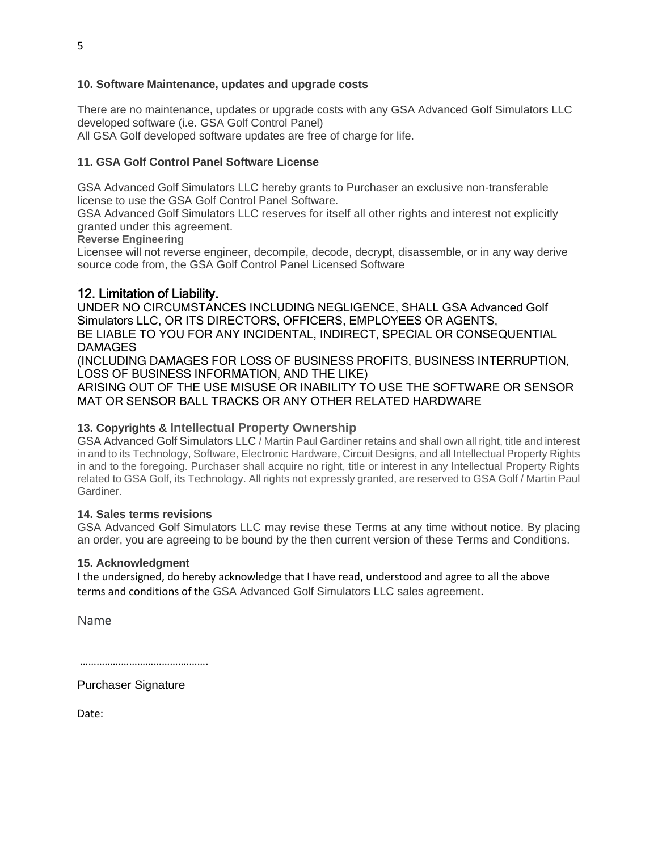#### **10. Software Maintenance, updates and upgrade costs**

There are no maintenance, updates or upgrade costs with any GSA Advanced Golf Simulators LLC developed software (i.e. GSA Golf Control Panel) All GSA Golf developed software updates are free of charge for life.

## **11. GSA Golf Control Panel Software License**

GSA Advanced Golf Simulators LLC hereby grants to Purchaser an exclusive non-transferable license to use the GSA Golf Control Panel Software.

GSA Advanced Golf Simulators LLC reserves for itself all other rights and interest not explicitly granted under this agreement.

**Reverse Engineering**

Licensee will not reverse engineer, decompile, decode, decrypt, disassemble, or in any way derive source code from, the GSA Golf Control Panel Licensed Software

# 12. Limitation of Liability.

UNDER NO CIRCUMSTANCES INCLUDING NEGLIGENCE, SHALL GSA Advanced Golf Simulators LLC, OR ITS DIRECTORS, OFFICERS, EMPLOYEES OR AGENTS, BE LIABLE TO YOU FOR ANY INCIDENTAL, INDIRECT, SPECIAL OR CONSEQUENTIAL DAMAGES

(INCLUDING DAMAGES FOR LOSS OF BUSINESS PROFITS, BUSINESS INTERRUPTION, LOSS OF BUSINESS INFORMATION, AND THE LIKE)

ARISING OUT OF THE USE MISUSE OR INABILITY TO USE THE SOFTWARE OR SENSOR MAT OR SENSOR BALL TRACKS OR ANY OTHER RELATED HARDWARE

## **13. Copyrights & Intellectual Property Ownership**

GSA Advanced Golf Simulators LLC / Martin Paul Gardiner retains and shall own all right, title and interest in and to its Technology, Software, Electronic Hardware, Circuit Designs, and all Intellectual Property Rights in and to the foregoing. Purchaser shall acquire no right, title or interest in any Intellectual Property Rights related to GSA Golf, its Technology. All rights not expressly granted, are reserved to GSA Golf / Martin Paul Gardiner.

#### **14. Sales terms revisions**

GSA Advanced Golf Simulators LLC may revise these Terms at any time without notice. By placing an order, you are agreeing to be bound by the then current version of these Terms and Conditions.

#### **15. Acknowledgment**

I the undersigned, do hereby acknowledge that I have read, understood and agree to all the above terms and conditions of the GSA Advanced Golf Simulators LLC sales agreement.

Name

……………………………………………

Purchaser Signature

Date: